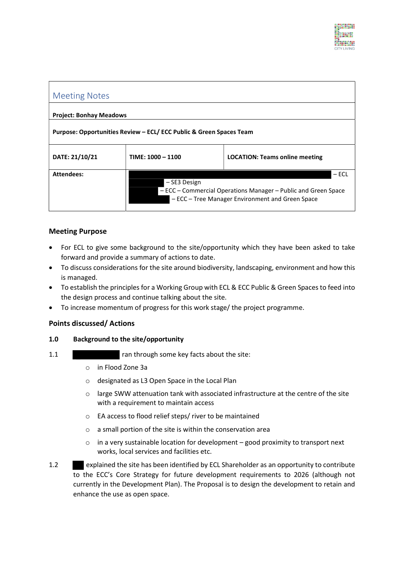

| <b>Meeting Notes</b>                                                |                   |                                                                                                                               |  |
|---------------------------------------------------------------------|-------------------|-------------------------------------------------------------------------------------------------------------------------------|--|
| <b>Project: Bonhay Meadows</b>                                      |                   |                                                                                                                               |  |
| Purpose: Opportunities Review – ECL/ ECC Public & Green Spaces Team |                   |                                                                                                                               |  |
| DATE: 21/10/21                                                      | TIME: 1000 - 1100 | <b>LOCATION: Teams online meeting</b>                                                                                         |  |
| <b>Attendees:</b>                                                   | - SE3 Design      | $-$ ECL<br>- ECC – Commercial Operations Manager – Public and Green Space<br>- ECC - Tree Manager Environment and Green Space |  |

# Meeting Purpose

- For ECL to give some background to the site/opportunity which they have been asked to take forward and provide a summary of actions to date.
- To discuss considerations for the site around biodiversity, landscaping, environment and how this is managed.
- To establish the principles for a Working Group with ECL & ECC Public & Green Spaces to feed into the design process and continue talking about the site.
- To increase momentum of progress for this work stage/ the project programme.

## Points discussed/ Actions

#### 1.0 Background to the site/opportunity

- 1.1 **1.1** ran through some key facts about the site:
	- o in Flood Zone 3a
	- o designated as L3 Open Space in the Local Plan
	- $\circ$  large SWW attenuation tank with associated infrastructure at the centre of the site with a requirement to maintain access
	- o EA access to flood relief steps/ river to be maintained
	- o a small portion of the site is within the conservation area
	- $\circ$  in a very sustainable location for development good proximity to transport next works, local services and facilities etc.
- 1.2 explained the site has been identified by ECL Shareholder as an opportunity to contribute to the ECC's Core Strategy for future development requirements to 2026 (although not currently in the Development Plan). The Proposal is to design the development to retain and enhance the use as open space.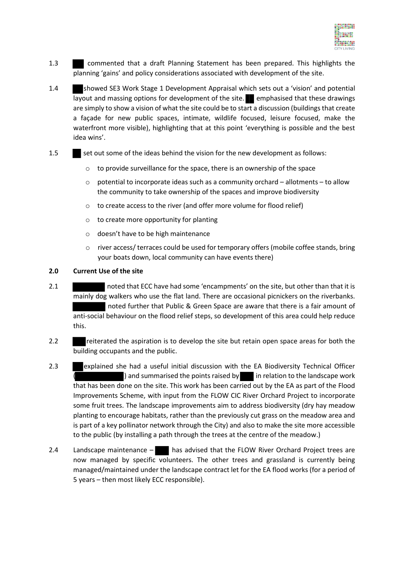

- 1.3 commented that a draft Planning Statement has been prepared. This highlights the planning 'gains' and policy considerations associated with development of the site.
- 1.4 showed SE3 Work Stage 1 Development Appraisal which sets out a 'vision' and potential layout and massing options for development of the site. emphasised that these drawings are simply to show a vision of what the site could be to start a discussion (buildings that create a façade for new public spaces, intimate, wildlife focused, leisure focused, make the waterfront more visible), highlighting that at this point 'everything is possible and the best idea wins'.
- 1.5 set out some of the ideas behind the vision for the new development as follows:
	- o to provide surveillance for the space, there is an ownership of the space
	- $\circ$  potential to incorporate ideas such as a community orchard allotments to allow the community to take ownership of the spaces and improve biodiversity
	- o to create access to the river (and offer more volume for flood relief)
	- o to create more opportunity for planting
	- o doesn't have to be high maintenance
	- o river access/ terraces could be used for temporary offers (mobile coffee stands, bring your boats down, local community can have events there)

### 2.0 Current Use of the site

- 2.1 noted that ECC have had some 'encampments' on the site, but other than that it is mainly dog walkers who use the flat land. There are occasional picnickers on the riverbanks. noted further that Public & Green Space are aware that there is a fair amount of anti-social behaviour on the flood relief steps, so development of this area could help reduce this.
- 2.2 reiterated the aspiration is to develop the site but retain open space areas for both the building occupants and the public.
- 2.3 explained she had a useful initial discussion with the EA Biodiversity Technical Officer ) and summarised the points raised by  $\Box$  in relation to the landscape work that has been done on the site. This work has been carried out by the EA as part of the Flood Improvements Scheme, with input from the FLOW CIC River Orchard Project to incorporate some fruit trees. The landscape improvements aim to address biodiversity (dry hay meadow planting to encourage habitats, rather than the previously cut grass on the meadow area and is part of a key pollinator network through the City) and also to make the site more accessible to the public (by installing a path through the trees at the centre of the meadow.)
- 2.4 Landscape maintenance  $\blacksquare$  has advised that the FLOW River Orchard Project trees are now managed by specific volunteers. The other trees and grassland is currently being managed/maintained under the landscape contract let for the EA flood works (for a period of 5 years – then most likely ECC responsible).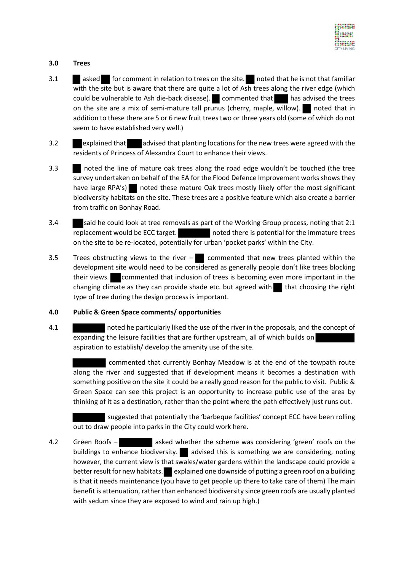

## 3.0 Trees

- 3.1 asked for comment in relation to trees on the site. noted that he is not that familiar with the site but is aware that there are quite a lot of Ash trees along the river edge (which could be vulnerable to Ash die-back disease). commented that has advised the trees on the site are a mix of semi-mature tall prunus (cherry, maple, willow). noted that in addition to these there are 5 or 6 new fruit trees two or three years old (some of which do not seem to have established very well.)
- 3.2 explained that advised that planting locations for the new trees were agreed with the residents of Princess of Alexandra Court to enhance their views.
- 3.3 noted the line of mature oak trees along the road edge wouldn't be touched (the tree survey undertaken on behalf of the EA for the Flood Defence Improvement works shows they have large RPA's) noted these mature Oak trees mostly likely offer the most significant biodiversity habitats on the site. These trees are a positive feature which also create a barrier from traffic on Bonhay Road.
- 3.4 said he could look at tree removals as part of the Working Group process, noting that 2:1 replacement would be ECC target. noted there is potential for the immature trees on the site to be re-located, potentially for urban 'pocket parks' within the City.
- 3.5 Trees obstructing views to the river  $-\blacksquare$  commented that new trees planted within the development site would need to be considered as generally people don't like trees blocking their views. commented that inclusion of trees is becoming even more important in the changing climate as they can provide shade etc. but agreed with  $\blacksquare$  that choosing the right type of tree during the design process is important.

#### 4.0 Public & Green Space comments/ opportunities

4.1 noted he particularly liked the use of the river in the proposals, and the concept of expanding the leisure facilities that are further upstream, all of which builds on aspiration to establish/ develop the amenity use of the site.

 commented that currently Bonhay Meadow is at the end of the towpath route along the river and suggested that if development means it becomes a destination with something positive on the site it could be a really good reason for the public to visit. Public & Green Space can see this project is an opportunity to increase public use of the area by thinking of it as a destination, rather than the point where the path effectively just runs out.

suggested that potentially the 'barbeque facilities' concept ECC have been rolling out to draw people into parks in the City could work here.

4.2 Green Roofs – asked whether the scheme was considering 'green' roofs on the buildings to enhance biodiversity. advised this is something we are considering, noting however, the current view is that swales/water gardens within the landscape could provide a better result for new habitats. explained one downside of putting a green roof on a building is that it needs maintenance (you have to get people up there to take care of them) The main benefit is attenuation, rather than enhanced biodiversity since green roofs are usually planted with sedum since they are exposed to wind and rain up high.)